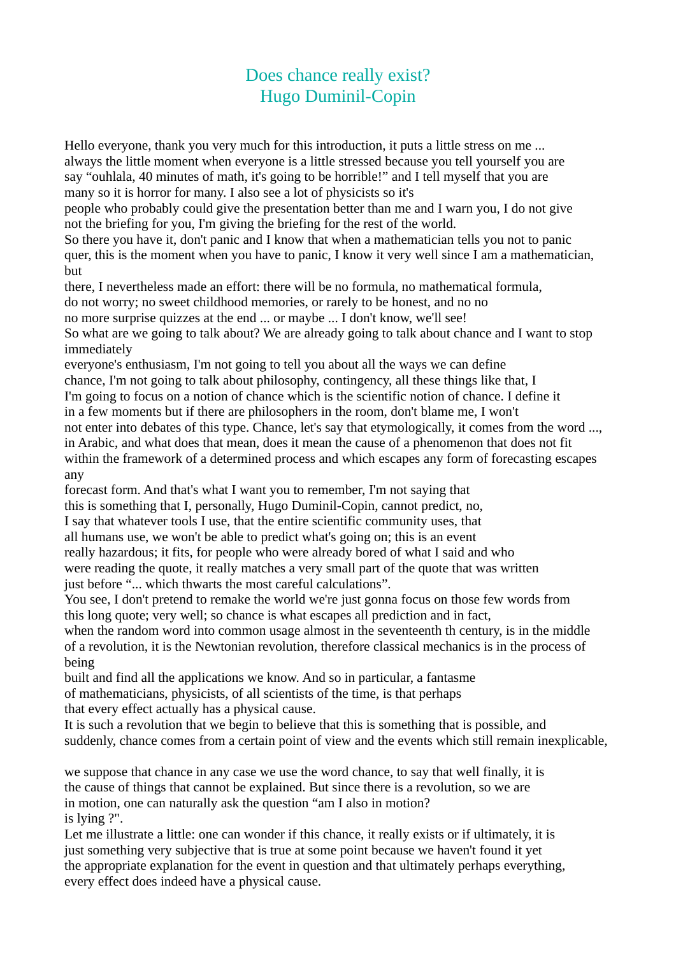## Does chance really exist? Hugo Duminil-Copin

Hello everyone, thank you very much for this introduction, it puts a little stress on me ... always the little moment when everyone is a little stressed because you tell yourself you are say "ouhlala, 40 minutes of math, it's going to be horrible!" and I tell myself that you are many so it is horror for many. I also see a lot of physicists so it's

people who probably could give the presentation better than me and I warn you, I do not give not the briefing for you, I'm giving the briefing for the rest of the world.

So there you have it, don't panic and I know that when a mathematician tells you not to panic quer, this is the moment when you have to panic, I know it very well since I am a mathematician, but

there, I nevertheless made an effort: there will be no formula, no mathematical formula,

do not worry; no sweet childhood memories, or rarely to be honest, and no no

no more surprise quizzes at the end ... or maybe ... I don't know, we'll see!

So what are we going to talk about? We are already going to talk about chance and I want to stop immediately

everyone's enthusiasm, I'm not going to tell you about all the ways we can define

chance, I'm not going to talk about philosophy, contingency, all these things like that, I

I'm going to focus on a notion of chance which is the scientific notion of chance. I define it

in a few moments but if there are philosophers in the room, don't blame me, I won't

not enter into debates of this type. Chance, let's say that etymologically, it comes from the word ..., in Arabic, and what does that mean, does it mean the cause of a phenomenon that does not fit within the framework of a determined process and which escapes any form of forecasting escapes any

forecast form. And that's what I want you to remember, I'm not saying that this is something that I, personally, Hugo Duminil-Copin, cannot predict, no, I say that whatever tools I use, that the entire scientific community uses, that all humans use, we won't be able to predict what's going on; this is an event really hazardous; it fits, for people who were already bored of what I said and who were reading the quote, it really matches a very small part of the quote that was written

just before "... which thwarts the most careful calculations".

You see, I don't pretend to remake the world we're just gonna focus on those few words from this long quote; very well; so chance is what escapes all prediction and in fact,

when the random word into common usage almost in the seventeenth th century, is in the middle of a revolution, it is the Newtonian revolution, therefore classical mechanics is in the process of being

built and find all the applications we know. And so in particular, a fantasme of mathematicians, physicists, of all scientists of the time, is that perhaps

that every effect actually has a physical cause.

It is such a revolution that we begin to believe that this is something that is possible, and suddenly, chance comes from a certain point of view and the events which still remain inexplicable,

we suppose that chance in any case we use the word chance, to say that well finally, it is the cause of things that cannot be explained. But since there is a revolution, so we are in motion, one can naturally ask the question "am I also in motion? is lying ?".

Let me illustrate a little: one can wonder if this chance, it really exists or if ultimately, it is just something very subjective that is true at some point because we haven't found it yet the appropriate explanation for the event in question and that ultimately perhaps everything, every effect does indeed have a physical cause.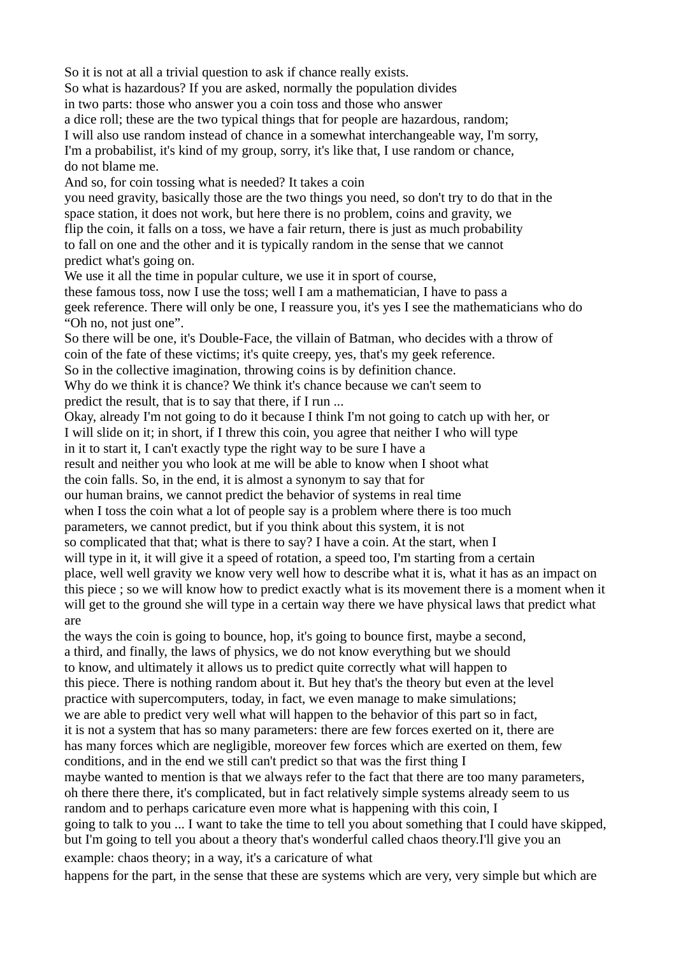So it is not at all a trivial question to ask if chance really exists. So what is hazardous? If you are asked, normally the population divides in two parts: those who answer you a coin toss and those who answer a dice roll; these are the two typical things that for people are hazardous, random; I will also use random instead of chance in a somewhat interchangeable way, I'm sorry, I'm a probabilist, it's kind of my group, sorry, it's like that, I use random or chance, do not blame me. And so, for coin tossing what is needed? It takes a coin you need gravity, basically those are the two things you need, so don't try to do that in the space station, it does not work, but here there is no problem, coins and gravity, we flip the coin, it falls on a toss, we have a fair return, there is just as much probability to fall on one and the other and it is typically random in the sense that we cannot predict what's going on. We use it all the time in popular culture, we use it in sport of course, these famous toss, now I use the toss; well I am a mathematician, I have to pass a geek reference. There will only be one, I reassure you, it's yes I see the mathematicians who do "Oh no, not just one". So there will be one, it's Double-Face, the villain of Batman, who decides with a throw of coin of the fate of these victims; it's quite creepy, yes, that's my geek reference. So in the collective imagination, throwing coins is by definition chance. Why do we think it is chance? We think it's chance because we can't seem to predict the result, that is to say that there, if I run ... Okay, already I'm not going to do it because I think I'm not going to catch up with her, or I will slide on it; in short, if I threw this coin, you agree that neither I who will type in it to start it, I can't exactly type the right way to be sure I have a result and neither you who look at me will be able to know when I shoot what the coin falls. So, in the end, it is almost a synonym to say that for our human brains, we cannot predict the behavior of systems in real time when I toss the coin what a lot of people say is a problem where there is too much parameters, we cannot predict, but if you think about this system, it is not so complicated that that; what is there to say? I have a coin. At the start, when I will type in it, it will give it a speed of rotation, a speed too, I'm starting from a certain place, well well gravity we know very well how to describe what it is, what it has as an impact on this piece ; so we will know how to predict exactly what is its movement there is a moment when it will get to the ground she will type in a certain way there we have physical laws that predict what are the ways the coin is going to bounce, hop, it's going to bounce first, maybe a second, a third, and finally, the laws of physics, we do not know everything but we should to know, and ultimately it allows us to predict quite correctly what will happen to this piece. There is nothing random about it. But hey that's the theory but even at the level practice with supercomputers, today, in fact, we even manage to make simulations; we are able to predict very well what will happen to the behavior of this part so in fact, it is not a system that has so many parameters: there are few forces exerted on it, there are has many forces which are negligible, moreover few forces which are exerted on them, few conditions, and in the end we still can't predict so that was the first thing I maybe wanted to mention is that we always refer to the fact that there are too many parameters, oh there there there, it's complicated, but in fact relatively simple systems already seem to us random and to perhaps caricature even more what is happening with this coin, I going to talk to you ... I want to take the time to tell you about something that I could have skipped,

but I'm going to tell you about a theory that's wonderful called chaos theory.I'll give you an example: chaos theory; in a way, it's a caricature of what

happens for the part, in the sense that these are systems which are very, very simple but which are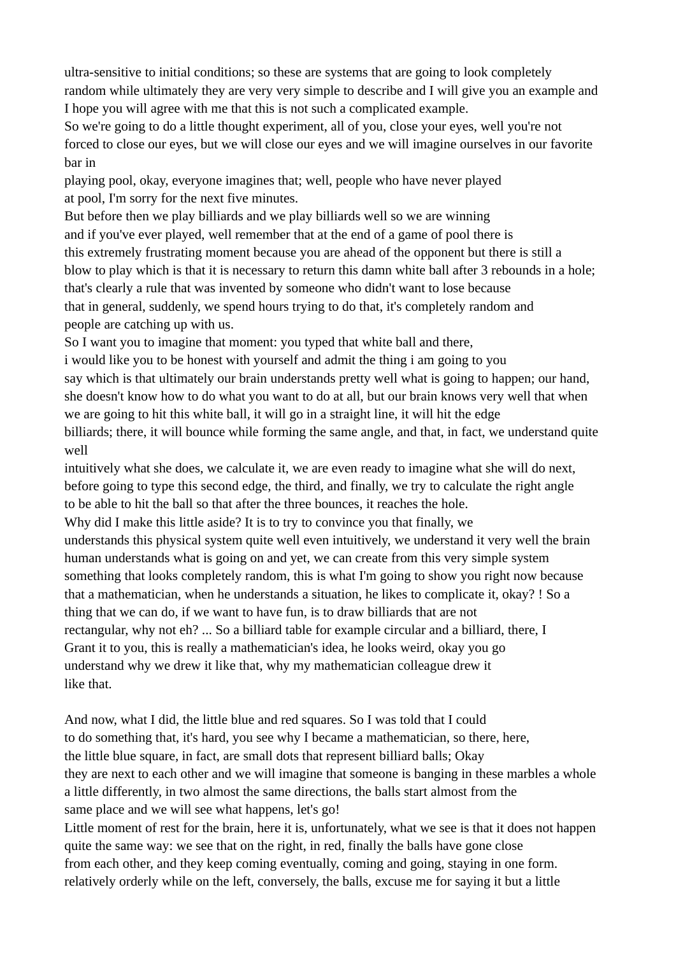ultra-sensitive to initial conditions; so these are systems that are going to look completely random while ultimately they are very very simple to describe and I will give you an example and I hope you will agree with me that this is not such a complicated example.

So we're going to do a little thought experiment, all of you, close your eyes, well you're not forced to close our eyes, but we will close our eyes and we will imagine ourselves in our favorite bar in

playing pool, okay, everyone imagines that; well, people who have never played at pool, I'm sorry for the next five minutes.

But before then we play billiards and we play billiards well so we are winning and if you've ever played, well remember that at the end of a game of pool there is this extremely frustrating moment because you are ahead of the opponent but there is still a blow to play which is that it is necessary to return this damn white ball after 3 rebounds in a hole; that's clearly a rule that was invented by someone who didn't want to lose because that in general, suddenly, we spend hours trying to do that, it's completely random and people are catching up with us.

So I want you to imagine that moment: you typed that white ball and there,

i would like you to be honest with yourself and admit the thing i am going to you

say which is that ultimately our brain understands pretty well what is going to happen; our hand, she doesn't know how to do what you want to do at all, but our brain knows very well that when we are going to hit this white ball, it will go in a straight line, it will hit the edge billiards; there, it will bounce while forming the same angle, and that, in fact, we understand quite

well

intuitively what she does, we calculate it, we are even ready to imagine what she will do next, before going to type this second edge, the third, and finally, we try to calculate the right angle to be able to hit the ball so that after the three bounces, it reaches the hole.

Why did I make this little aside? It is to try to convince you that finally, we

understands this physical system quite well even intuitively, we understand it very well the brain human understands what is going on and yet, we can create from this very simple system something that looks completely random, this is what I'm going to show you right now because that a mathematician, when he understands a situation, he likes to complicate it, okay? ! So a thing that we can do, if we want to have fun, is to draw billiards that are not rectangular, why not eh? ... So a billiard table for example circular and a billiard, there, I Grant it to you, this is really a mathematician's idea, he looks weird, okay you go understand why we drew it like that, why my mathematician colleague drew it like that.

And now, what I did, the little blue and red squares. So I was told that I could to do something that, it's hard, you see why I became a mathematician, so there, here, the little blue square, in fact, are small dots that represent billiard balls; Okay they are next to each other and we will imagine that someone is banging in these marbles a whole a little differently, in two almost the same directions, the balls start almost from the same place and we will see what happens, let's go!

Little moment of rest for the brain, here it is, unfortunately, what we see is that it does not happen quite the same way: we see that on the right, in red, finally the balls have gone close from each other, and they keep coming eventually, coming and going, staying in one form. relatively orderly while on the left, conversely, the balls, excuse me for saying it but a little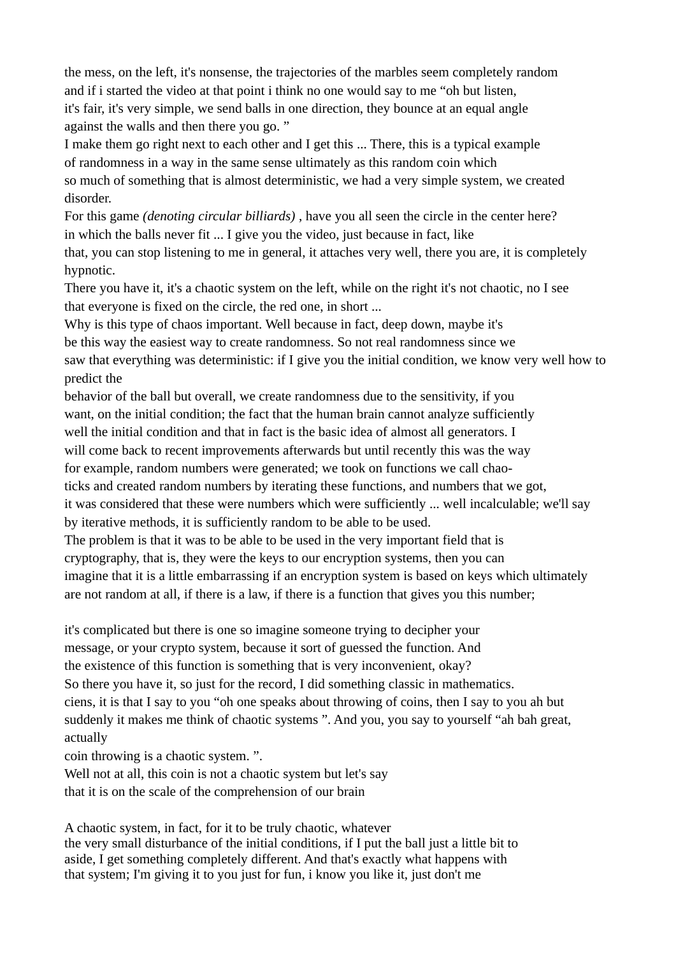the mess, on the left, it's nonsense, the trajectories of the marbles seem completely random and if i started the video at that point i think no one would say to me "oh but listen, it's fair, it's very simple, we send balls in one direction, they bounce at an equal angle against the walls and then there you go. "

I make them go right next to each other and I get this ... There, this is a typical example of randomness in a way in the same sense ultimately as this random coin which so much of something that is almost deterministic, we had a very simple system, we created disorder.

For this game *(denoting circular billiards)* , have you all seen the circle in the center here? in which the balls never fit ... I give you the video, just because in fact, like

that, you can stop listening to me in general, it attaches very well, there you are, it is completely hypnotic.

There you have it, it's a chaotic system on the left, while on the right it's not chaotic, no I see that everyone is fixed on the circle, the red one, in short ...

Why is this type of chaos important. Well because in fact, deep down, maybe it's be this way the easiest way to create randomness. So not real randomness since we saw that everything was deterministic: if I give you the initial condition, we know very well how to predict the

behavior of the ball but overall, we create randomness due to the sensitivity, if you want, on the initial condition; the fact that the human brain cannot analyze sufficiently

well the initial condition and that in fact is the basic idea of almost all generators. I

will come back to recent improvements afterwards but until recently this was the way

for example, random numbers were generated; we took on functions we call chao-

ticks and created random numbers by iterating these functions, and numbers that we got,

it was considered that these were numbers which were sufficiently ... well incalculable; we'll say by iterative methods, it is sufficiently random to be able to be used.

The problem is that it was to be able to be used in the very important field that is

cryptography, that is, they were the keys to our encryption systems, then you can

imagine that it is a little embarrassing if an encryption system is based on keys which ultimately are not random at all, if there is a law, if there is a function that gives you this number;

it's complicated but there is one so imagine someone trying to decipher your message, or your crypto system, because it sort of guessed the function. And the existence of this function is something that is very inconvenient, okay? So there you have it, so just for the record, I did something classic in mathematics. ciens, it is that I say to you "oh one speaks about throwing of coins, then I say to you ah but suddenly it makes me think of chaotic systems ". And you, you say to yourself "ah bah great, actually

coin throwing is a chaotic system. ".

Well not at all, this coin is not a chaotic system but let's say that it is on the scale of the comprehension of our brain

A chaotic system, in fact, for it to be truly chaotic, whatever the very small disturbance of the initial conditions, if I put the ball just a little bit to aside, I get something completely different. And that's exactly what happens with that system; I'm giving it to you just for fun, i know you like it, just don't me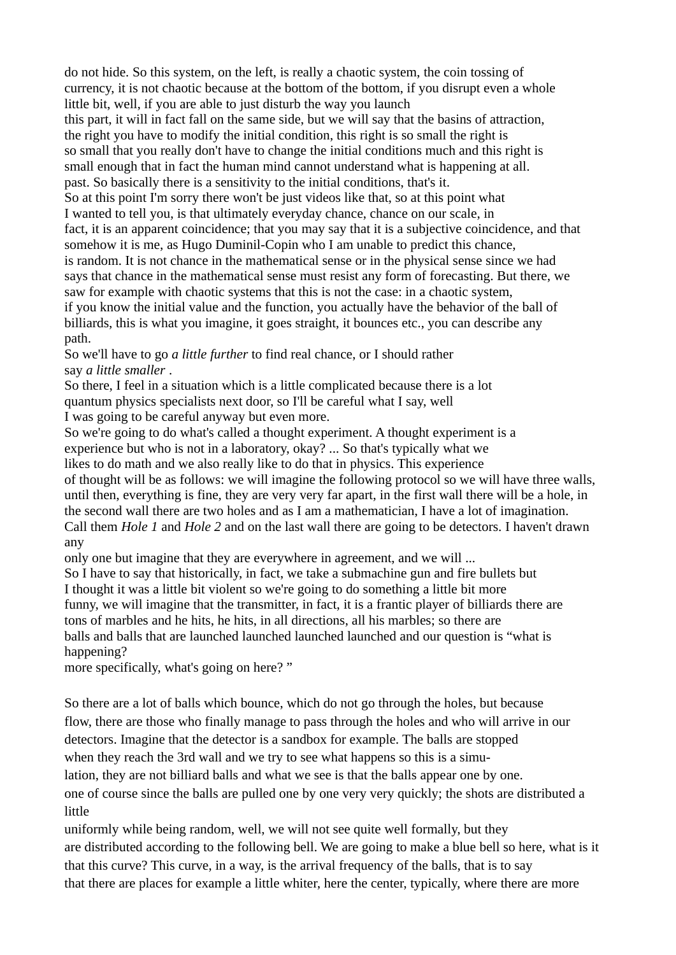do not hide. So this system, on the left, is really a chaotic system, the coin tossing of currency, it is not chaotic because at the bottom of the bottom, if you disrupt even a whole little bit, well, if you are able to just disturb the way you launch this part, it will in fact fall on the same side, but we will say that the basins of attraction, the right you have to modify the initial condition, this right is so small the right is so small that you really don't have to change the initial conditions much and this right is small enough that in fact the human mind cannot understand what is happening at all. past. So basically there is a sensitivity to the initial conditions, that's it. So at this point I'm sorry there won't be just videos like that, so at this point what I wanted to tell you, is that ultimately everyday chance, chance on our scale, in fact, it is an apparent coincidence; that you may say that it is a subjective coincidence, and that somehow it is me, as Hugo Duminil-Copin who I am unable to predict this chance, is random. It is not chance in the mathematical sense or in the physical sense since we had says that chance in the mathematical sense must resist any form of forecasting. But there, we saw for example with chaotic systems that this is not the case: in a chaotic system, if you know the initial value and the function, you actually have the behavior of the ball of billiards, this is what you imagine, it goes straight, it bounces etc., you can describe any path.

So we'll have to go *a little further* to find real chance, or I should rather say *a little smaller* .

So there, I feel in a situation which is a little complicated because there is a lot quantum physics specialists next door, so I'll be careful what I say, well I was going to be careful anyway but even more.

So we're going to do what's called a thought experiment. A thought experiment is a experience but who is not in a laboratory, okay? ... So that's typically what we likes to do math and we also really like to do that in physics. This experience of thought will be as follows: we will imagine the following protocol so we will have three walls, until then, everything is fine, they are very very far apart, in the first wall there will be a hole, in the second wall there are two holes and as I am a mathematician, I have a lot of imagination. Call them *Hole 1* and *Hole 2* and on the last wall there are going to be detectors. I haven't drawn any

only one but imagine that they are everywhere in agreement, and we will ...

So I have to say that historically, in fact, we take a submachine gun and fire bullets but I thought it was a little bit violent so we're going to do something a little bit more funny, we will imagine that the transmitter, in fact, it is a frantic player of billiards there are tons of marbles and he hits, he hits, in all directions, all his marbles; so there are balls and balls that are launched launched launched launched and our question is "what is happening?

more specifically, what's going on here? "

So there are a lot of balls which bounce, which do not go through the holes, but because flow, there are those who finally manage to pass through the holes and who will arrive in our detectors. Imagine that the detector is a sandbox for example. The balls are stopped when they reach the 3rd wall and we try to see what happens so this is a simulation, they are not billiard balls and what we see is that the balls appear one by one. one of course since the balls are pulled one by one very very quickly; the shots are distributed a little

uniformly while being random, well, we will not see quite well formally, but they are distributed according to the following bell. We are going to make a blue bell so here, what is it that this curve? This curve, in a way, is the arrival frequency of the balls, that is to say that there are places for example a little whiter, here the center, typically, where there are more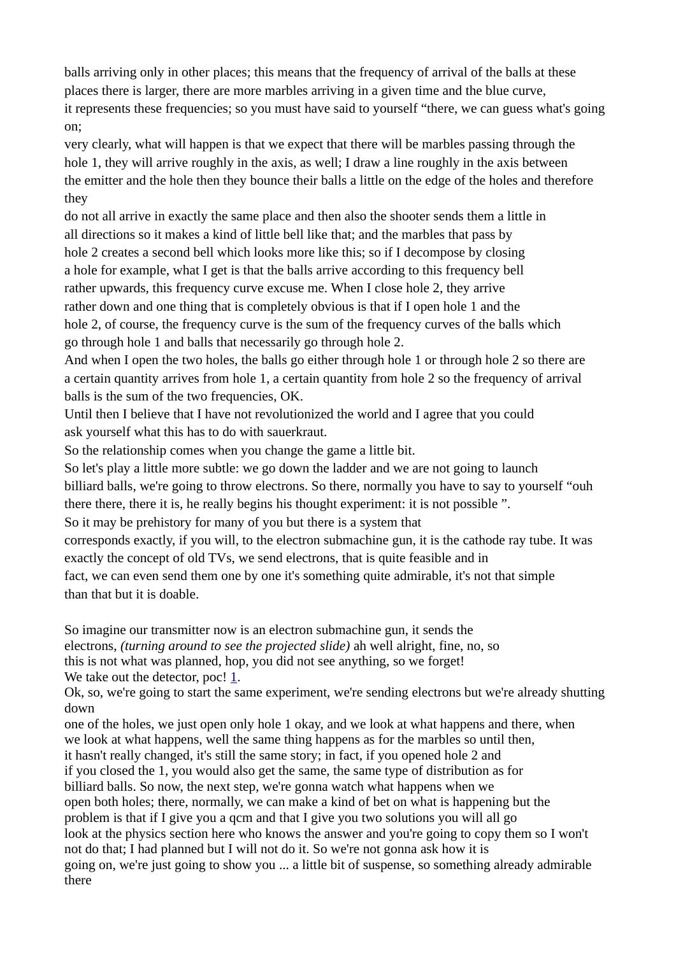balls arriving only in other places; this means that the frequency of arrival of the balls at these places there is larger, there are more marbles arriving in a given time and the blue curve, it represents these frequencies; so you must have said to yourself "there, we can guess what's going on;

very clearly, what will happen is that we expect that there will be marbles passing through the hole 1, they will arrive roughly in the axis, as well; I draw a line roughly in the axis between the emitter and the hole then they bounce their balls a little on the edge of the holes and therefore they

do not all arrive in exactly the same place and then also the shooter sends them a little in all directions so it makes a kind of little bell like that; and the marbles that pass by hole 2 creates a second bell which looks more like this; so if I decompose by closing a hole for example, what I get is that the balls arrive according to this frequency bell rather upwards, this frequency curve excuse me. When I close hole 2, they arrive rather down and one thing that is completely obvious is that if I open hole 1 and the hole 2, of course, the frequency curve is the sum of the frequency curves of the balls which go through hole 1 and balls that necessarily go through hole 2.

And when I open the two holes, the balls go either through hole 1 or through hole 2 so there are a certain quantity arrives from hole 1, a certain quantity from hole 2 so the frequency of arrival balls is the sum of the two frequencies, OK.

Until then I believe that I have not revolutionized the world and I agree that you could ask yourself what this has to do with sauerkraut.

So the relationship comes when you change the game a little bit.

So let's play a little more subtle: we go down the ladder and we are not going to launch billiard balls, we're going to throw electrons. So there, normally you have to say to yourself "ouh there there, there it is, he really begins his thought experiment: it is not possible ".

So it may be prehistory for many of you but there is a system that

corresponds exactly, if you will, to the electron submachine gun, it is the cathode ray tube. It was exactly the concept of old TVs, we send electrons, that is quite feasible and in

fact, we can even send them one by one it's something quite admirable, it's not that simple than that but it is doable.

So imagine our transmitter now is an electron submachine gun, it sends the electrons, *(turning around to see the projected slide)* ah well alright, fine, no, so this is not what was planned, hop, you did not see anything, so we forget! We take out the detector, poc! [1](https://translate.googleusercontent.com/translate_f#1).

Ok, so, we're going to start the same experiment, we're sending electrons but we're already shutting down

one of the holes, we just open only hole 1 okay, and we look at what happens and there, when we look at what happens, well the same thing happens as for the marbles so until then, it hasn't really changed, it's still the same story; in fact, if you opened hole 2 and if you closed the 1, you would also get the same, the same type of distribution as for billiard balls. So now, the next step, we're gonna watch what happens when we open both holes; there, normally, we can make a kind of bet on what is happening but the problem is that if I give you a qcm and that I give you two solutions you will all go look at the physics section here who knows the answer and you're going to copy them so I won't not do that; I had planned but I will not do it. So we're not gonna ask how it is going on, we're just going to show you ... a little bit of suspense, so something already admirable there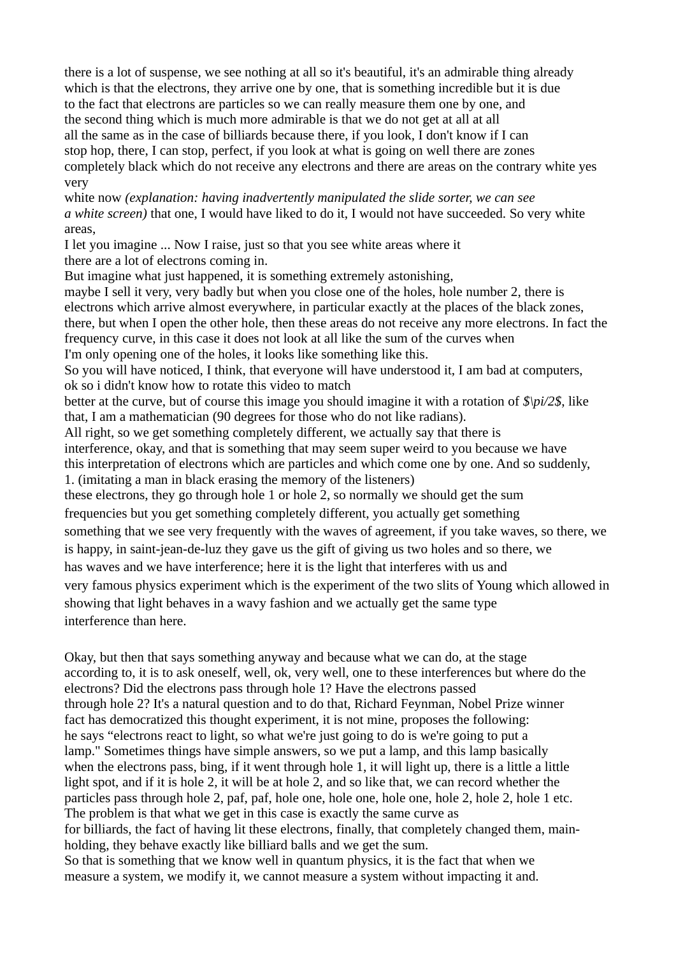there is a lot of suspense, we see nothing at all so it's beautiful, it's an admirable thing already which is that the electrons, they arrive one by one, that is something incredible but it is due to the fact that electrons are particles so we can really measure them one by one, and the second thing which is much more admirable is that we do not get at all at all all the same as in the case of billiards because there, if you look, I don't know if I can stop hop, there, I can stop, perfect, if you look at what is going on well there are zones completely black which do not receive any electrons and there are areas on the contrary white yes very

white now *(explanation: having inadvertently manipulated the slide sorter, we can see a white screen)* that one, I would have liked to do it, I would not have succeeded. So very white areas,

I let you imagine ... Now I raise, just so that you see white areas where it there are a lot of electrons coming in.

But imagine what just happened, it is something extremely astonishing, maybe I sell it very, very badly but when you close one of the holes, hole number 2, there is electrons which arrive almost everywhere, in particular exactly at the places of the black zones, there, but when I open the other hole, then these areas do not receive any more electrons. In fact the frequency curve, in this case it does not look at all like the sum of the curves when I'm only opening one of the holes, it looks like something like this. So you will have noticed, I think, that everyone will have understood it, I am bad at computers,

ok so i didn't know how to rotate this video to match

better at the curve, but of course this image you should imagine it with a rotation of *\$\pi/2\$*, like that, I am a mathematician (90 degrees for those who do not like radians).

All right, so we get something completely different, we actually say that there is

interference, okay, and that is something that may seem super weird to you because we have this interpretation of electrons which are particles and which come one by one. And so suddenly, 1. (imitating a man in black erasing the memory of the listeners)

these electrons, they go through hole 1 or hole 2, so normally we should get the sum frequencies but you get something completely different, you actually get something

something that we see very frequently with the waves of agreement, if you take waves, so there, we

is happy, in saint-jean-de-luz they gave us the gift of giving us two holes and so there, we

has waves and we have interference; here it is the light that interferes with us and

very famous physics experiment which is the experiment of the two slits of Young which allowed in showing that light behaves in a wavy fashion and we actually get the same type interference than here.

Okay, but then that says something anyway and because what we can do, at the stage according to, it is to ask oneself, well, ok, very well, one to these interferences but where do the electrons? Did the electrons pass through hole 1? Have the electrons passed through hole 2? It's a natural question and to do that, Richard Feynman, Nobel Prize winner fact has democratized this thought experiment, it is not mine, proposes the following: he says "electrons react to light, so what we're just going to do is we're going to put a lamp." Sometimes things have simple answers, so we put a lamp, and this lamp basically when the electrons pass, bing, if it went through hole 1, it will light up, there is a little a little light spot, and if it is hole 2, it will be at hole 2, and so like that, we can record whether the particles pass through hole 2, paf, paf, hole one, hole one, hole one, hole 2, hole 2, hole 1 etc. The problem is that what we get in this case is exactly the same curve as for billiards, the fact of having lit these electrons, finally, that completely changed them, mainholding, they behave exactly like billiard balls and we get the sum. So that is something that we know well in quantum physics, it is the fact that when we measure a system, we modify it, we cannot measure a system without impacting it and.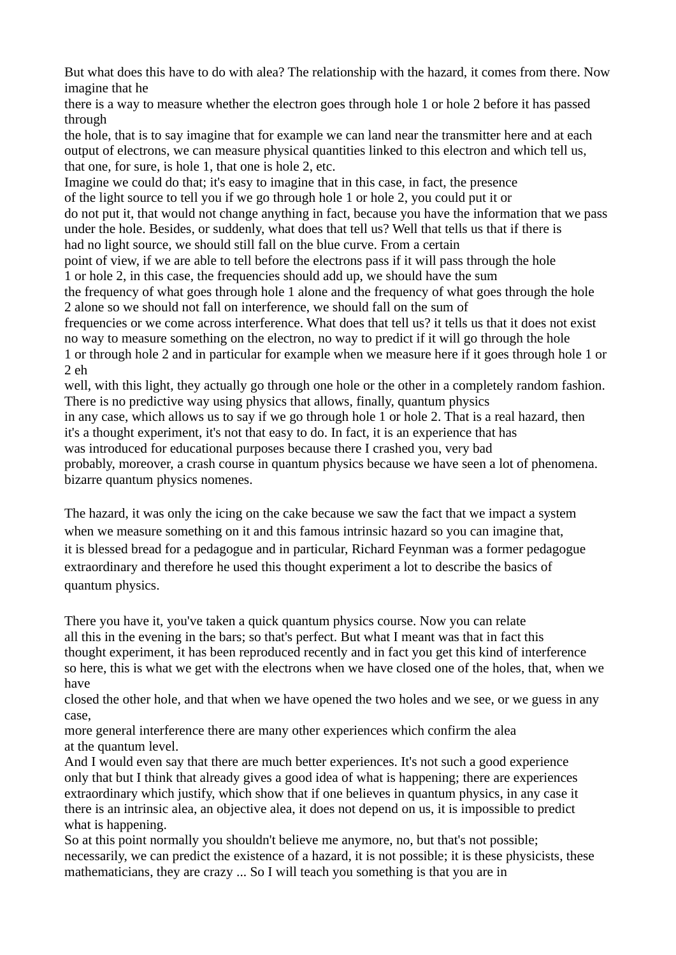But what does this have to do with alea? The relationship with the hazard, it comes from there. Now imagine that he

there is a way to measure whether the electron goes through hole 1 or hole 2 before it has passed through

the hole, that is to say imagine that for example we can land near the transmitter here and at each output of electrons, we can measure physical quantities linked to this electron and which tell us, that one, for sure, is hole 1, that one is hole 2, etc.

Imagine we could do that; it's easy to imagine that in this case, in fact, the presence of the light source to tell you if we go through hole 1 or hole 2, you could put it or do not put it, that would not change anything in fact, because you have the information that we pass under the hole. Besides, or suddenly, what does that tell us? Well that tells us that if there is had no light source, we should still fall on the blue curve. From a certain point of view, if we are able to tell before the electrons pass if it will pass through the hole 1 or hole 2, in this case, the frequencies should add up, we should have the sum the frequency of what goes through hole 1 alone and the frequency of what goes through the hole 2 alone so we should not fall on interference, we should fall on the sum of frequencies or we come across interference. What does that tell us? it tells us that it does not exist no way to measure something on the electron, no way to predict if it will go through the hole 1 or through hole 2 and in particular for example when we measure here if it goes through hole 1 or 2 eh

well, with this light, they actually go through one hole or the other in a completely random fashion. There is no predictive way using physics that allows, finally, quantum physics

in any case, which allows us to say if we go through hole 1 or hole 2. That is a real hazard, then it's a thought experiment, it's not that easy to do. In fact, it is an experience that has

was introduced for educational purposes because there I crashed you, very bad

probably, moreover, a crash course in quantum physics because we have seen a lot of phenomena. bizarre quantum physics nomenes.

The hazard, it was only the icing on the cake because we saw the fact that we impact a system when we measure something on it and this famous intrinsic hazard so you can imagine that, it is blessed bread for a pedagogue and in particular, Richard Feynman was a former pedagogue extraordinary and therefore he used this thought experiment a lot to describe the basics of quantum physics.

There you have it, you've taken a quick quantum physics course. Now you can relate all this in the evening in the bars; so that's perfect. But what I meant was that in fact this thought experiment, it has been reproduced recently and in fact you get this kind of interference so here, this is what we get with the electrons when we have closed one of the holes, that, when we have

closed the other hole, and that when we have opened the two holes and we see, or we guess in any case,

more general interference there are many other experiences which confirm the alea at the quantum level.

And I would even say that there are much better experiences. It's not such a good experience only that but I think that already gives a good idea of what is happening; there are experiences extraordinary which justify, which show that if one believes in quantum physics, in any case it there is an intrinsic alea, an objective alea, it does not depend on us, it is impossible to predict what is happening.

So at this point normally you shouldn't believe me anymore, no, but that's not possible; necessarily, we can predict the existence of a hazard, it is not possible; it is these physicists, these mathematicians, they are crazy ... So I will teach you something is that you are in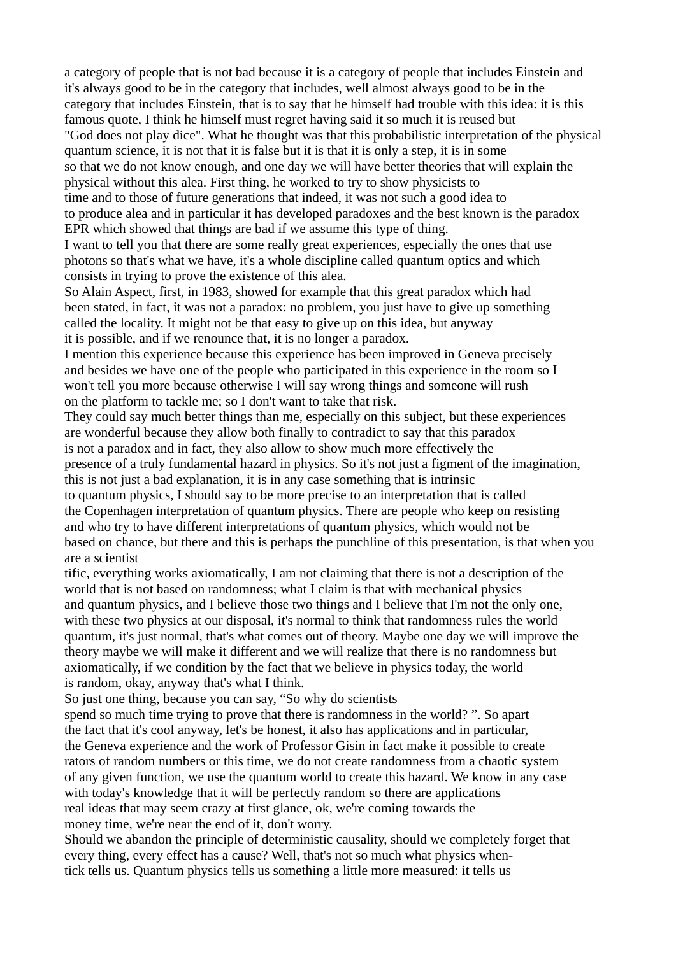a category of people that is not bad because it is a category of people that includes Einstein and it's always good to be in the category that includes, well almost always good to be in the category that includes Einstein, that is to say that he himself had trouble with this idea: it is this famous quote, I think he himself must regret having said it so much it is reused but "God does not play dice". What he thought was that this probabilistic interpretation of the physical quantum science, it is not that it is false but it is that it is only a step, it is in some so that we do not know enough, and one day we will have better theories that will explain the physical without this alea. First thing, he worked to try to show physicists to time and to those of future generations that indeed, it was not such a good idea to to produce alea and in particular it has developed paradoxes and the best known is the paradox EPR which showed that things are bad if we assume this type of thing.

I want to tell you that there are some really great experiences, especially the ones that use photons so that's what we have, it's a whole discipline called quantum optics and which consists in trying to prove the existence of this alea.

So Alain Aspect, first, in 1983, showed for example that this great paradox which had been stated, in fact, it was not a paradox: no problem, you just have to give up something called the locality. It might not be that easy to give up on this idea, but anyway it is possible, and if we renounce that, it is no longer a paradox.

I mention this experience because this experience has been improved in Geneva precisely and besides we have one of the people who participated in this experience in the room so I won't tell you more because otherwise I will say wrong things and someone will rush on the platform to tackle me; so I don't want to take that risk.

They could say much better things than me, especially on this subject, but these experiences are wonderful because they allow both finally to contradict to say that this paradox is not a paradox and in fact, they also allow to show much more effectively the presence of a truly fundamental hazard in physics. So it's not just a figment of the imagination, this is not just a bad explanation, it is in any case something that is intrinsic

to quantum physics, I should say to be more precise to an interpretation that is called the Copenhagen interpretation of quantum physics. There are people who keep on resisting and who try to have different interpretations of quantum physics, which would not be based on chance, but there and this is perhaps the punchline of this presentation, is that when you are a scientist

tific, everything works axiomatically, I am not claiming that there is not a description of the world that is not based on randomness; what I claim is that with mechanical physics and quantum physics, and I believe those two things and I believe that I'm not the only one, with these two physics at our disposal, it's normal to think that randomness rules the world quantum, it's just normal, that's what comes out of theory. Maybe one day we will improve the theory maybe we will make it different and we will realize that there is no randomness but axiomatically, if we condition by the fact that we believe in physics today, the world is random, okay, anyway that's what I think.

So just one thing, because you can say, "So why do scientists

spend so much time trying to prove that there is randomness in the world? ". So apart the fact that it's cool anyway, let's be honest, it also has applications and in particular, the Geneva experience and the work of Professor Gisin in fact make it possible to create rators of random numbers or this time, we do not create randomness from a chaotic system of any given function, we use the quantum world to create this hazard. We know in any case with today's knowledge that it will be perfectly random so there are applications real ideas that may seem crazy at first glance, ok, we're coming towards the money time, we're near the end of it, don't worry.

Should we abandon the principle of deterministic causality, should we completely forget that every thing, every effect has a cause? Well, that's not so much what physics whentick tells us. Quantum physics tells us something a little more measured: it tells us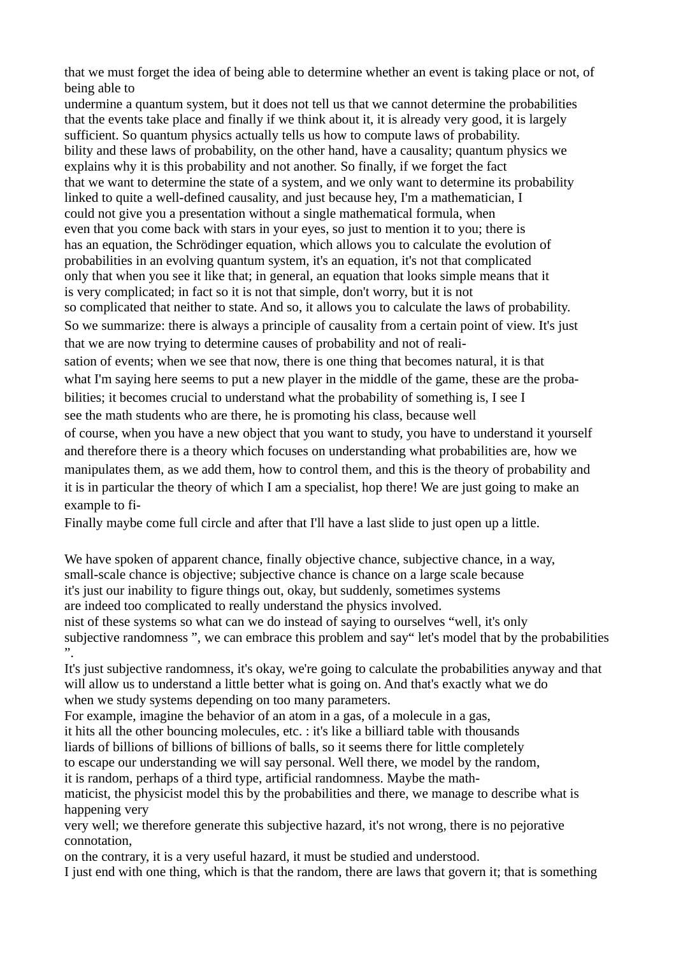that we must forget the idea of being able to determine whether an event is taking place or not, of being able to

undermine a quantum system, but it does not tell us that we cannot determine the probabilities that the events take place and finally if we think about it, it is already very good, it is largely sufficient. So quantum physics actually tells us how to compute laws of probability. bility and these laws of probability, on the other hand, have a causality; quantum physics we explains why it is this probability and not another. So finally, if we forget the fact that we want to determine the state of a system, and we only want to determine its probability linked to quite a well-defined causality, and just because hey, I'm a mathematician, I could not give you a presentation without a single mathematical formula, when even that you come back with stars in your eyes, so just to mention it to you; there is has an equation, the Schrödinger equation, which allows you to calculate the evolution of probabilities in an evolving quantum system, it's an equation, it's not that complicated only that when you see it like that; in general, an equation that looks simple means that it is very complicated; in fact so it is not that simple, don't worry, but it is not so complicated that neither to state. And so, it allows you to calculate the laws of probability. So we summarize: there is always a principle of causality from a certain point of view. It's just that we are now trying to determine causes of probability and not of realisation of events; when we see that now, there is one thing that becomes natural, it is that what I'm saying here seems to put a new player in the middle of the game, these are the probabilities; it becomes crucial to understand what the probability of something is, I see I see the math students who are there, he is promoting his class, because well of course, when you have a new object that you want to study, you have to understand it yourself and therefore there is a theory which focuses on understanding what probabilities are, how we manipulates them, as we add them, how to control them, and this is the theory of probability and

it is in particular the theory of which I am a specialist, hop there! We are just going to make an example to fi-

Finally maybe come full circle and after that I'll have a last slide to just open up a little.

We have spoken of apparent chance, finally objective chance, subjective chance, in a way, small-scale chance is objective; subjective chance is chance on a large scale because it's just our inability to figure things out, okay, but suddenly, sometimes systems

are indeed too complicated to really understand the physics involved.

nist of these systems so what can we do instead of saying to ourselves "well, it's only subjective randomness ", we can embrace this problem and say" let's model that by the probabilities ".

It's just subjective randomness, it's okay, we're going to calculate the probabilities anyway and that will allow us to understand a little better what is going on. And that's exactly what we do when we study systems depending on too many parameters.

For example, imagine the behavior of an atom in a gas, of a molecule in a gas,

it hits all the other bouncing molecules, etc. : it's like a billiard table with thousands

liards of billions of billions of billions of balls, so it seems there for little completely

to escape our understanding we will say personal. Well there, we model by the random,

it is random, perhaps of a third type, artificial randomness. Maybe the math-

maticist, the physicist model this by the probabilities and there, we manage to describe what is happening very

very well; we therefore generate this subjective hazard, it's not wrong, there is no pejorative connotation,

on the contrary, it is a very useful hazard, it must be studied and understood.

I just end with one thing, which is that the random, there are laws that govern it; that is something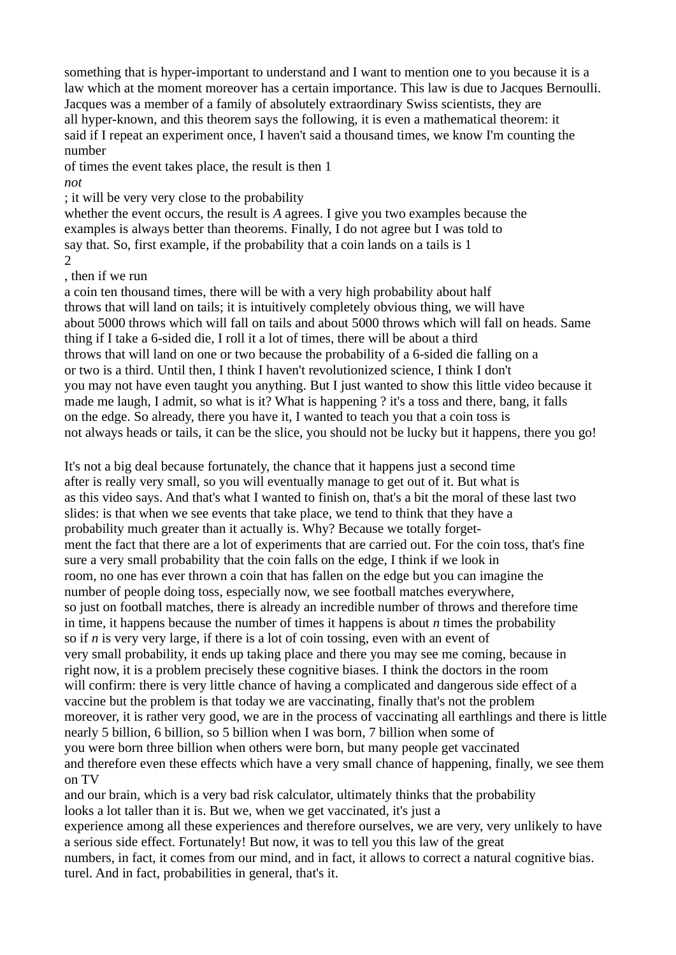something that is hyper-important to understand and I want to mention one to you because it is a law which at the moment moreover has a certain importance. This law is due to Jacques Bernoulli. Jacques was a member of a family of absolutely extraordinary Swiss scientists, they are all hyper-known, and this theorem says the following, it is even a mathematical theorem: it said if I repeat an experiment once, I haven't said a thousand times, we know I'm counting the number

of times the event takes place, the result is then 1 *not*

; it will be very very close to the probability

whether the event occurs, the result is *A* agrees. I give you two examples because the examples is always better than theorems. Finally, I do not agree but I was told to say that. So, first example, if the probability that a coin lands on a tails is 1 2

, then if we run

a coin ten thousand times, there will be with a very high probability about half throws that will land on tails; it is intuitively completely obvious thing, we will have about 5000 throws which will fall on tails and about 5000 throws which will fall on heads. Same thing if I take a 6-sided die, I roll it a lot of times, there will be about a third throws that will land on one or two because the probability of a 6-sided die falling on a or two is a third. Until then, I think I haven't revolutionized science, I think I don't you may not have even taught you anything. But I just wanted to show this little video because it made me laugh, I admit, so what is it? What is happening ? it's a toss and there, bang, it falls on the edge. So already, there you have it, I wanted to teach you that a coin toss is not always heads or tails, it can be the slice, you should not be lucky but it happens, there you go!

It's not a big deal because fortunately, the chance that it happens just a second time after is really very small, so you will eventually manage to get out of it. But what is as this video says. And that's what I wanted to finish on, that's a bit the moral of these last two slides: is that when we see events that take place, we tend to think that they have a probability much greater than it actually is. Why? Because we totally forgetment the fact that there are a lot of experiments that are carried out. For the coin toss, that's fine sure a very small probability that the coin falls on the edge, I think if we look in room, no one has ever thrown a coin that has fallen on the edge but you can imagine the number of people doing toss, especially now, we see football matches everywhere, so just on football matches, there is already an incredible number of throws and therefore time in time, it happens because the number of times it happens is about *n* times the probability so if *n* is very very large, if there is a lot of coin tossing, even with an event of very small probability, it ends up taking place and there you may see me coming, because in right now, it is a problem precisely these cognitive biases. I think the doctors in the room will confirm: there is very little chance of having a complicated and dangerous side effect of a vaccine but the problem is that today we are vaccinating, finally that's not the problem moreover, it is rather very good, we are in the process of vaccinating all earthlings and there is little nearly 5 billion, 6 billion, so 5 billion when I was born, 7 billion when some of you were born three billion when others were born, but many people get vaccinated and therefore even these effects which have a very small chance of happening, finally, we see them on TV

and our brain, which is a very bad risk calculator, ultimately thinks that the probability looks a lot taller than it is. But we, when we get vaccinated, it's just a experience among all these experiences and therefore ourselves, we are very, very unlikely to have a serious side effect. Fortunately! But now, it was to tell you this law of the great numbers, in fact, it comes from our mind, and in fact, it allows to correct a natural cognitive bias. turel. And in fact, probabilities in general, that's it.